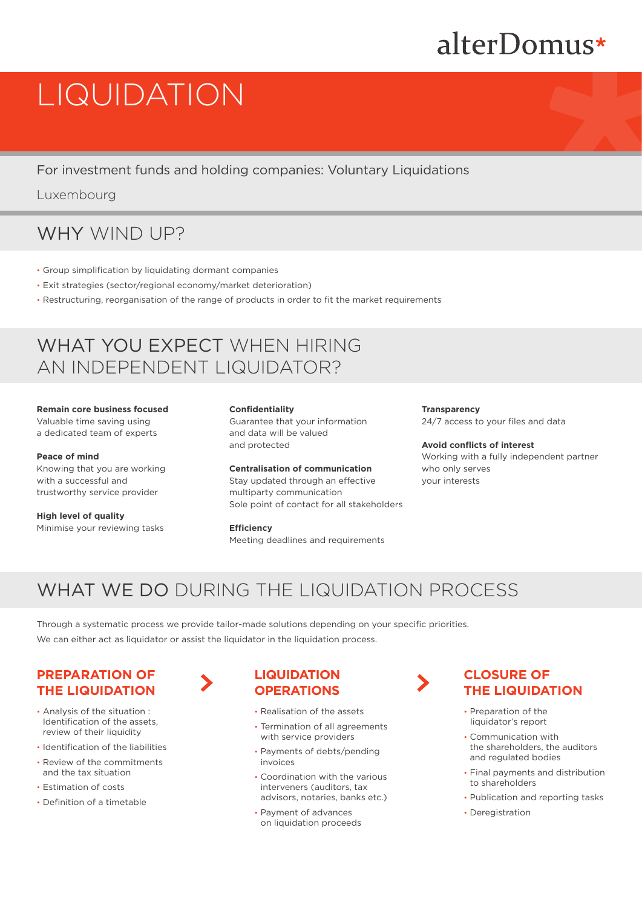# alterDomus\*

# LIQUIDATION

For investment funds and holding companies: Voluntary Liquidations

Luxembourg

# WHY WIND UP?

- Group simplification by liquidating dormant companies
- Exit strategies (sector/regional economy/market deterioration)
- Restructuring, reorganisation of the range of products in order to fit the market requirements

# WHAT YOU EXPECT WHEN HIRING AN INDEPENDENT LIQUIDATOR?

#### **Remain core business focused** Valuable time saving using a dedicated team of experts

#### **Peace of mind**

Knowing that you are working with a successful and trustworthy service provider

**High level of quality** Minimise your reviewing tasks **Confidentiality**

Guarantee that your information and data will be valued and protected

#### **Centralisation of communication**

Stay updated through an effective multiparty communication Sole point of contact for all stakeholders

**Efficiency** 

Meeting deadlines and requirements

**Transparency** 24/7 access to your files and data

#### **Avoid conflicts of interest** Working with a fully independent partner who only serves your interests

# WHAT WE DO DURING THE LIQUIDATION PROCESS

Through a systematic process we provide tailor-made solutions depending on your specific priorities. We can either act as liquidator or assist the liquidator in the liquidation process.

## **PREPARATION OF THE LIQUIDATION**

- Analysis of the situation : Identification of the assets, review of their liquidity
- Identification of the liabilities
- Review of the commitments and the tax situation
- Estimation of costs
- Definition of a timetable

## **LIQUIDATION OPERATIONS**

- Realisation of the assets
- Termination of all agreements with service providers
- Payments of debts/pending invoices
- Coordination with the various interveners (auditors, tax advisors, notaries, banks etc.)
- Payment of advances on liquidation proceeds

## **CLOSURE OF THE LIQUIDATION**

- Preparation of the liquidator's report
- Communication with the shareholders, the auditors and regulated bodies
- Final payments and distribution to shareholders
- Publication and reporting tasks
- Deregistration